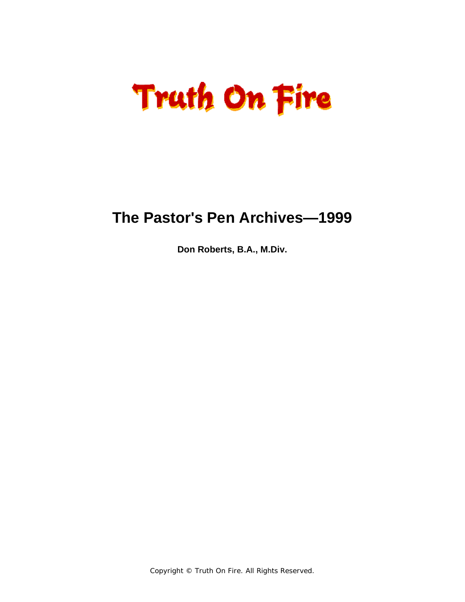### **The Pastor's Pen Archives—1999**

**Don Roberts, B.A., M.Div.**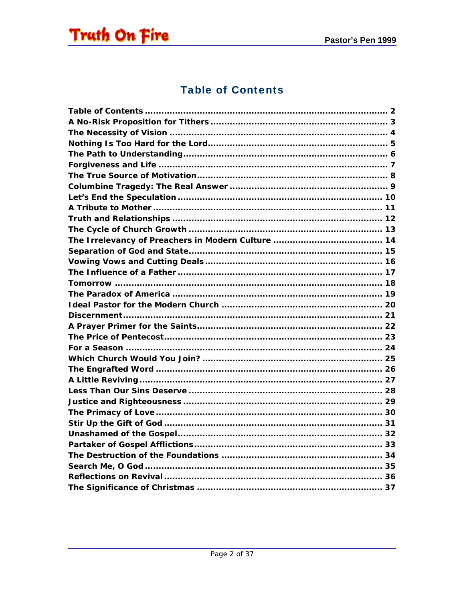<span id="page-1-0"></span>

#### **Table of Contents**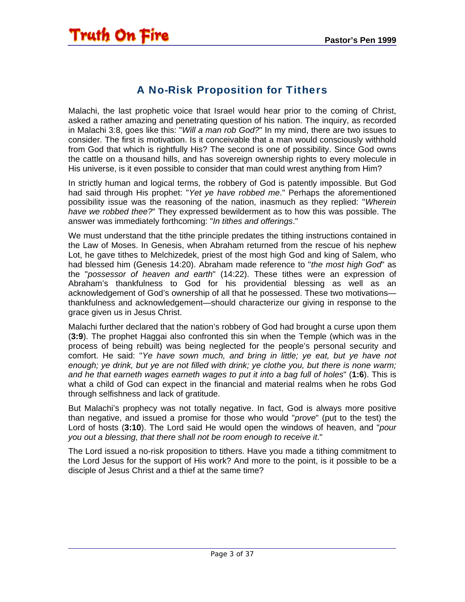#### A No-Risk Proposition for Tithers

<span id="page-2-0"></span>Malachi, the last prophetic voice that Israel would hear prior to the coming of Christ, asked a rather amazing and penetrating question of his nation. The inquiry, as recorded in Malachi 3:8, goes like this: "*Will a man rob God?*" In my mind, there are two issues to consider. The first is motivation. Is it conceivable that a man would consciously withhold from God that which is rightfully His? The second is one of possibility. Since God owns the cattle on a thousand hills, and has sovereign ownership rights to every molecule in His universe, is it even possible to consider that man could wrest anything from Him?

In strictly human and logical terms, the robbery of God is patently impossible. But God had said through His prophet: "*Yet ye have robbed me*." Perhaps the aforementioned possibility issue was the reasoning of the nation, inasmuch as they replied: "*Wherein have we robbed thee?*" They expressed bewilderment as to how this was possible. The answer was immediately forthcoming: "*In tithes and offerings*."

We must understand that the tithe principle predates the tithing instructions contained in the Law of Moses. In Genesis, when Abraham returned from the rescue of his nephew Lot, he gave tithes to Melchizedek, priest of the most high God and king of Salem, who had blessed him (Genesis 14:20). Abraham made reference to "*the most high God*" as the "*possessor of heaven and earth*" (14:22). These tithes were an expression of Abraham's thankfulness to God for his providential blessing as well as an acknowledgement of God's ownership of all that he possessed. These two motivations thankfulness and acknowledgement—should characterize our giving in response to the grace given us in Jesus Christ.

Malachi further declared that the nation's robbery of God had brought a curse upon them (**3:9**). The prophet Haggai also confronted this sin when the Temple (which was in the process of being rebuilt) was being neglected for the people's personal security and comfort. He said: "*Ye have sown much, and bring in little; ye eat, but ye have not enough; ye drink, but ye are not filled with drink; ye clothe you, but there is none warm; and he that earneth wages earneth wages to put it into a bag full of holes*" (**1:6**). This is what a child of God can expect in the financial and material realms when he robs God through selfishness and lack of gratitude.

But Malachi's prophecy was not totally negative. In fact, God is always more positive than negative, and issued a promise for those who would "*prove*" (put to the test) the Lord of hosts (**3:10**). The Lord said He would open the windows of heaven, and "*pour you out a blessing, that there shall not be room enough to receive it*."

The Lord issued a no-risk proposition to tithers. Have you made a tithing commitment to the Lord Jesus for the support of His work? And more to the point, is it possible to be a disciple of Jesus Christ and a thief at the same time?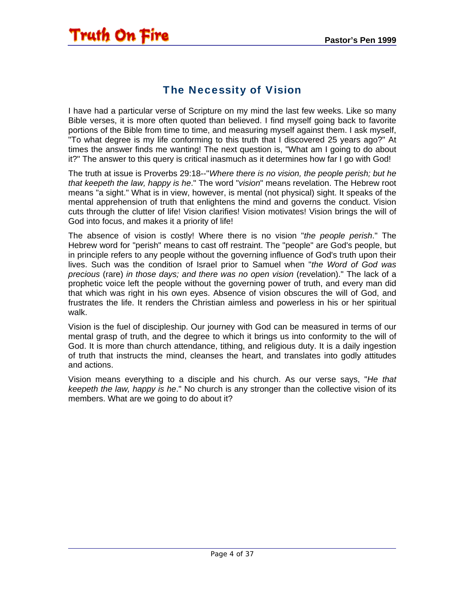#### The Necessity of Vision

<span id="page-3-0"></span>I have had a particular verse of Scripture on my mind the last few weeks. Like so many Bible verses, it is more often quoted than believed. I find myself going back to favorite portions of the Bible from time to time, and measuring myself against them. I ask myself, "To what degree is my life conforming to this truth that I discovered 25 years ago?" At times the answer finds me wanting! The next question is, "What am I going to do about it?" The answer to this query is critical inasmuch as it determines how far I go with God!

The truth at issue is Proverbs 29:18--"*Where there is no vision, the people perish; but he that keepeth the law, happy is he*." The word "*vision*" means revelation. The Hebrew root means "a sight." What is in view, however, is mental (not physical) sight. It speaks of the mental apprehension of truth that enlightens the mind and governs the conduct. Vision cuts through the clutter of life! Vision clarifies! Vision motivates! Vision brings the will of God into focus, and makes it a priority of life!

The absence of vision is costly! Where there is no vision "*the people perish*." The Hebrew word for "perish" means to cast off restraint. The "people" are God's people, but in principle refers to any people without the governing influence of God's truth upon their lives. Such was the condition of Israel prior to Samuel when "*the Word of God was precious* (rare) *in those days; and there was no open vision* (revelation)." The lack of a prophetic voice left the people without the governing power of truth, and every man did that which was right in his own eyes. Absence of vision obscures the will of God, and frustrates the life. It renders the Christian aimless and powerless in his or her spiritual walk.

Vision is the fuel of discipleship. Our journey with God can be measured in terms of our mental grasp of truth, and the degree to which it brings us into conformity to the will of God. It is more than church attendance, tithing, and religious duty. It is a daily ingestion of truth that instructs the mind, cleanses the heart, and translates into godly attitudes and actions.

Vision means everything to a disciple and his church. As our verse says, "*He that keepeth the law, happy is he*." No church is any stronger than the collective vision of its members. What are we going to do about it?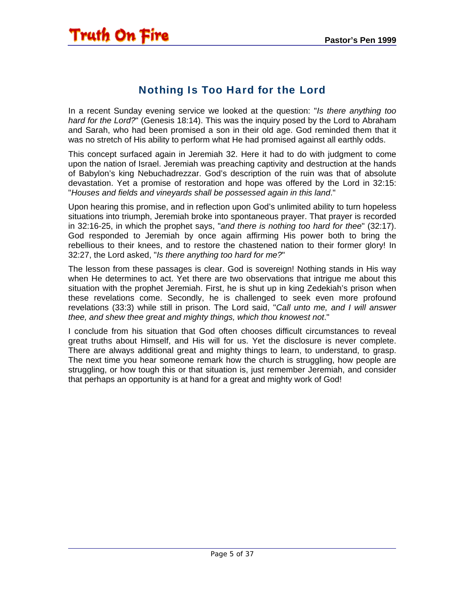#### Nothing Is Too Hard for the Lord

<span id="page-4-0"></span>In a recent Sunday evening service we looked at the question: "*Is there anything too hard for the Lord?*" (Genesis 18:14). This was the inquiry posed by the Lord to Abraham and Sarah, who had been promised a son in their old age. God reminded them that it was no stretch of His ability to perform what He had promised against all earthly odds.

This concept surfaced again in Jeremiah 32. Here it had to do with judgment to come upon the nation of Israel. Jeremiah was preaching captivity and destruction at the hands of Babylon's king Nebuchadrezzar. God's description of the ruin was that of absolute devastation. Yet a promise of restoration and hope was offered by the Lord in 32:15: "*Houses and fields and vineyards shall be possessed again in this land*."

Upon hearing this promise, and in reflection upon God's unlimited ability to turn hopeless situations into triumph, Jeremiah broke into spontaneous prayer. That prayer is recorded in 32:16-25, in which the prophet says, "*and there is nothing too hard for thee*" (32:17). God responded to Jeremiah by once again affirming His power both to bring the rebellious to their knees, and to restore the chastened nation to their former glory! In 32:27, the Lord asked, "*Is there anything too hard for me?*"

The lesson from these passages is clear. God is sovereign! Nothing stands in His way when He determines to act. Yet there are two observations that intrigue me about this situation with the prophet Jeremiah. First, he is shut up in king Zedekiah's prison when these revelations come. Secondly, he is challenged to seek even more profound revelations (33:3) while still in prison. The Lord said, "*Call unto me, and I will answer thee, and shew thee great and mighty things, which thou knowest not*."

I conclude from his situation that God often chooses difficult circumstances to reveal great truths about Himself, and His will for us. Yet the disclosure is never complete. There are always additional great and mighty things to learn, to understand, to grasp. The next time you hear someone remark how the church is struggling, how people are struggling, or how tough this or that situation is, just remember Jeremiah, and consider that perhaps an opportunity is at hand for a great and mighty work of God!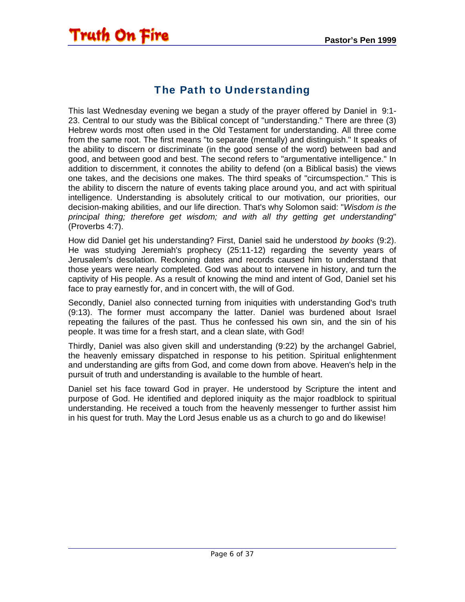### The Path to Understanding

<span id="page-5-0"></span>This last Wednesday evening we began a study of the prayer offered by Daniel in 9:1- 23. Central to our study was the Biblical concept of "understanding." There are three (3) Hebrew words most often used in the Old Testament for understanding. All three come from the same root. The first means "to separate (mentally) and distinguish." It speaks of the ability to discern or discriminate (in the good sense of the word) between bad and good, and between good and best. The second refers to "argumentative intelligence." In addition to discernment, it connotes the ability to defend (on a Biblical basis) the views one takes, and the decisions one makes. The third speaks of "circumspection." This is the ability to discern the nature of events taking place around you, and act with spiritual intelligence. Understanding is absolutely critical to our motivation, our priorities, our decision-making abilities, and our life direction. That's why Solomon said: "*Wisdom is the principal thing; therefore get wisdom; and with all thy getting get understanding*" (Proverbs 4:7).

How did Daniel get his understanding? First, Daniel said he understood *by books* (9:2). He was studying Jeremiah's prophecy (25:11-12) regarding the seventy years of Jerusalem's desolation. Reckoning dates and records caused him to understand that those years were nearly completed. God was about to intervene in history, and turn the captivity of His people. As a result of knowing the mind and intent of God, Daniel set his face to pray earnestly for, and in concert with, the will of God.

Secondly, Daniel also connected turning from iniquities with understanding God's truth (9:13). The former must accompany the latter. Daniel was burdened about Israel repeating the failures of the past. Thus he confessed his own sin, and the sin of his people. It was time for a fresh start, and a clean slate, with God!

Thirdly, Daniel was also given skill and understanding (9:22) by the archangel Gabriel, the heavenly emissary dispatched in response to his petition. Spiritual enlightenment and understanding are gifts from God, and come down from above. Heaven's help in the pursuit of truth and understanding is available to the humble of heart.

Daniel set his face toward God in prayer. He understood by Scripture the intent and purpose of God. He identified and deplored iniquity as the major roadblock to spiritual understanding. He received a touch from the heavenly messenger to further assist him in his quest for truth. May the Lord Jesus enable us as a church to go and do likewise!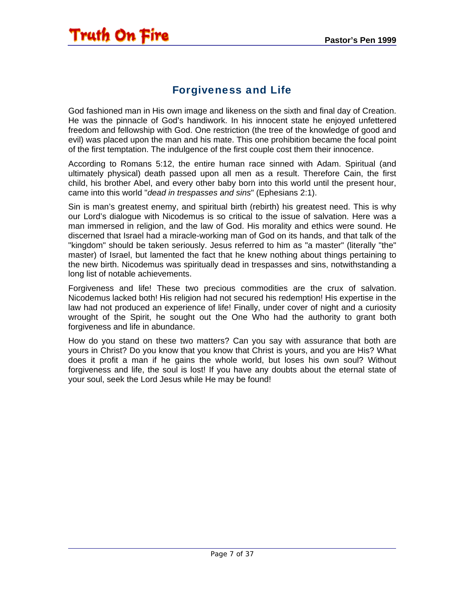#### Forgiveness and Life

<span id="page-6-0"></span>God fashioned man in His own image and likeness on the sixth and final day of Creation. He was the pinnacle of God's handiwork. In his innocent state he enjoyed unfettered freedom and fellowship with God. One restriction (the tree of the knowledge of good and evil) was placed upon the man and his mate. This one prohibition became the focal point of the first temptation. The indulgence of the first couple cost them their innocence.

According to Romans 5:12, the entire human race sinned with Adam. Spiritual (and ultimately physical) death passed upon all men as a result. Therefore Cain, the first child, his brother Abel, and every other baby born into this world until the present hour, came into this world "*dead in trespasses and sins*" (Ephesians 2:1).

Sin is man's greatest enemy, and spiritual birth (rebirth) his greatest need. This is why our Lord's dialogue with Nicodemus is so critical to the issue of salvation. Here was a man immersed in religion, and the law of God. His morality and ethics were sound. He discerned that Israel had a miracle-working man of God on its hands, and that talk of the "kingdom" should be taken seriously. Jesus referred to him as "a master" (literally "the" master) of Israel, but lamented the fact that he knew nothing about things pertaining to the new birth. Nicodemus was spiritually dead in trespasses and sins, notwithstanding a long list of notable achievements.

Forgiveness and life! These two precious commodities are the crux of salvation. Nicodemus lacked both! His religion had not secured his redemption! His expertise in the law had not produced an experience of life! Finally, under cover of night and a curiosity wrought of the Spirit, he sought out the One Who had the authority to grant both forgiveness and life in abundance.

How do you stand on these two matters? Can you say with assurance that both are yours in Christ? Do you know that you know that Christ is yours, and you are His? What does it profit a man if he gains the whole world, but loses his own soul? Without forgiveness and life, the soul is lost! If you have any doubts about the eternal state of your soul, seek the Lord Jesus while He may be found!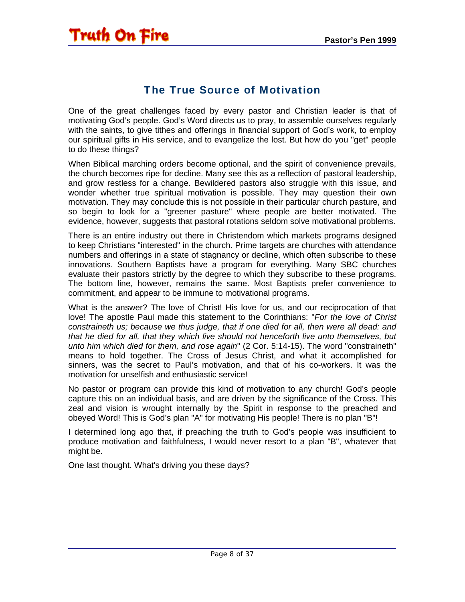#### The True Source of Motivation

<span id="page-7-0"></span>One of the great challenges faced by every pastor and Christian leader is that of motivating God's people. God's Word directs us to pray, to assemble ourselves regularly with the saints, to give tithes and offerings in financial support of God's work, to employ our spiritual gifts in His service, and to evangelize the lost. But how do you "get" people to do these things?

When Biblical marching orders become optional, and the spirit of convenience prevails, the church becomes ripe for decline. Many see this as a reflection of pastoral leadership, and grow restless for a change. Bewildered pastors also struggle with this issue, and wonder whether true spiritual motivation is possible. They may question their own motivation. They may conclude this is not possible in their particular church pasture, and so begin to look for a "greener pasture" where people are better motivated. The evidence, however, suggests that pastoral rotations seldom solve motivational problems.

There is an entire industry out there in Christendom which markets programs designed to keep Christians "interested" in the church. Prime targets are churches with attendance numbers and offerings in a state of stagnancy or decline, which often subscribe to these innovations. Southern Baptists have a program for everything. Many SBC churches evaluate their pastors strictly by the degree to which they subscribe to these programs. The bottom line, however, remains the same. Most Baptists prefer convenience to commitment, and appear to be immune to motivational programs.

What is the answer? The love of Christ! His love for us, and our reciprocation of that love! The apostle Paul made this statement to the Corinthians: "*For the love of Christ constraineth us; because we thus judge, that if one died for all, then were all dead: and that he died for all, that they which live should not henceforth live unto themselves, but unto him which died for them, and rose again*" (2 Cor. 5:14-15). The word "constraineth" means to hold together. The Cross of Jesus Christ, and what it accomplished for sinners, was the secret to Paul's motivation, and that of his co-workers. It was the motivation for unselfish and enthusiastic service!

No pastor or program can provide this kind of motivation to any church! God's people capture this on an individual basis, and are driven by the significance of the Cross. This zeal and vision is wrought internally by the Spirit in response to the preached and obeyed Word! This is God's plan "A" for motivating His people! There is no plan "B"!

I determined long ago that, if preaching the truth to God's people was insufficient to produce motivation and faithfulness, I would never resort to a plan "B", whatever that might be.

One last thought. What's driving you these days?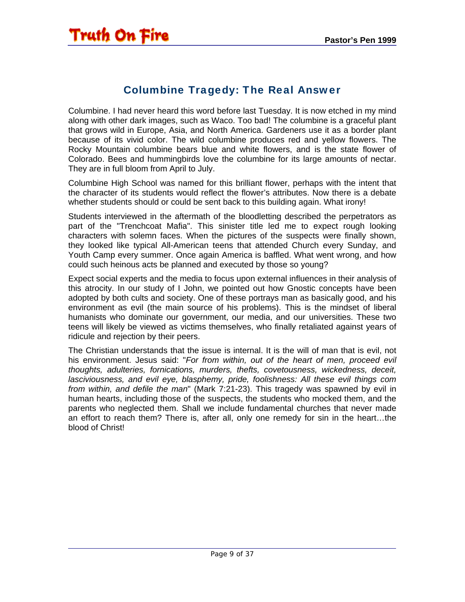#### Columbine Tragedy: The Real Answer

<span id="page-8-0"></span>Columbine. I had never heard this word before last Tuesday. It is now etched in my mind along with other dark images, such as Waco. Too bad! The columbine is a graceful plant that grows wild in Europe, Asia, and North America. Gardeners use it as a border plant because of its vivid color. The wild columbine produces red and yellow flowers. The Rocky Mountain columbine bears blue and white flowers, and is the state flower of Colorado. Bees and hummingbirds love the columbine for its large amounts of nectar. They are in full bloom from April to July.

Columbine High School was named for this brilliant flower, perhaps with the intent that the character of its students would reflect the flower's attributes. Now there is a debate whether students should or could be sent back to this building again. What irony!

Students interviewed in the aftermath of the bloodletting described the perpetrators as part of the "Trenchcoat Mafia". This sinister title led me to expect rough looking characters with solemn faces. When the pictures of the suspects were finally shown, they looked like typical All-American teens that attended Church every Sunday, and Youth Camp every summer. Once again America is baffled. What went wrong, and how could such heinous acts be planned and executed by those so young?

Expect social experts and the media to focus upon external influences in their analysis of this atrocity. In our study of I John, we pointed out how Gnostic concepts have been adopted by both cults and society. One of these portrays man as basically good, and his environment as evil (the main source of his problems). This is the mindset of liberal humanists who dominate our government, our media, and our universities. These two teens will likely be viewed as victims themselves, who finally retaliated against years of ridicule and rejection by their peers.

The Christian understands that the issue is internal. It is the will of man that is evil, not his environment. Jesus said: "*For from within, out of the heart of men, proceed evil thoughts, adulteries, fornications, murders, thefts, covetousness, wickedness, deceit, lasciviousness, and evil eye, blasphemy, pride, foolishness: All these evil things com from within, and defile the man*" (Mark 7:21-23). This tragedy was spawned by evil in human hearts, including those of the suspects, the students who mocked them, and the parents who neglected them. Shall we include fundamental churches that never made an effort to reach them? There is, after all, only one remedy for sin in the heart…the blood of Christ!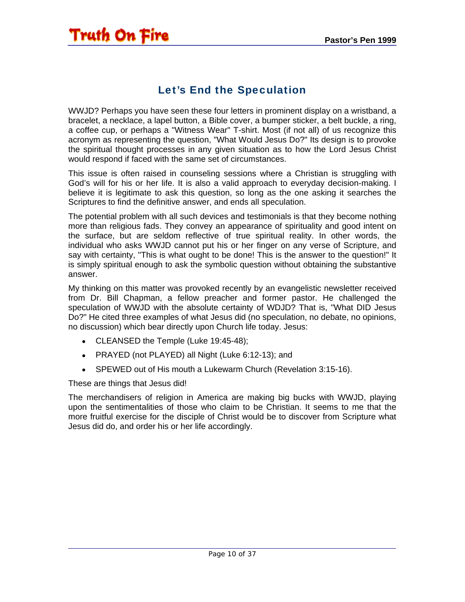#### Let's End the Speculation

<span id="page-9-0"></span>WWJD? Perhaps you have seen these four letters in prominent display on a wristband, a bracelet, a necklace, a lapel button, a Bible cover, a bumper sticker, a belt buckle, a ring, a coffee cup, or perhaps a "Witness Wear" T-shirt. Most (if not all) of us recognize this acronym as representing the question, "What Would Jesus Do?" Its design is to provoke the spiritual thought processes in any given situation as to how the Lord Jesus Christ would respond if faced with the same set of circumstances.

This issue is often raised in counseling sessions where a Christian is struggling with God's will for his or her life. It is also a valid approach to everyday decision-making. I believe it is legitimate to ask this question, so long as the one asking it searches the Scriptures to find the definitive answer, and ends all speculation.

The potential problem with all such devices and testimonials is that they become nothing more than religious fads. They convey an appearance of spirituality and good intent on the surface, but are seldom reflective of true spiritual reality. In other words, the individual who asks WWJD cannot put his or her finger on any verse of Scripture, and say with certainty, "This is what ought to be done! This is the answer to the question!" It is simply spiritual enough to ask the symbolic question without obtaining the substantive answer.

My thinking on this matter was provoked recently by an evangelistic newsletter received from Dr. Bill Chapman, a fellow preacher and former pastor. He challenged the speculation of WWJD with the absolute certainty of WDJD? That is, "What DID Jesus Do?" He cited three examples of what Jesus did (no speculation, no debate, no opinions, no discussion) which bear directly upon Church life today. Jesus:

- CLEANSED the Temple (Luke 19:45-48);
- PRAYED (not PLAYED) all Night (Luke 6:12-13); and
- SPEWED out of His mouth a Lukewarm Church (Revelation 3:15-16).

These are things that Jesus did!

The merchandisers of religion in America are making big bucks with WWJD, playing upon the sentimentalities of those who claim to be Christian. It seems to me that the more fruitful exercise for the disciple of Christ would be to discover from Scripture what Jesus did do, and order his or her life accordingly.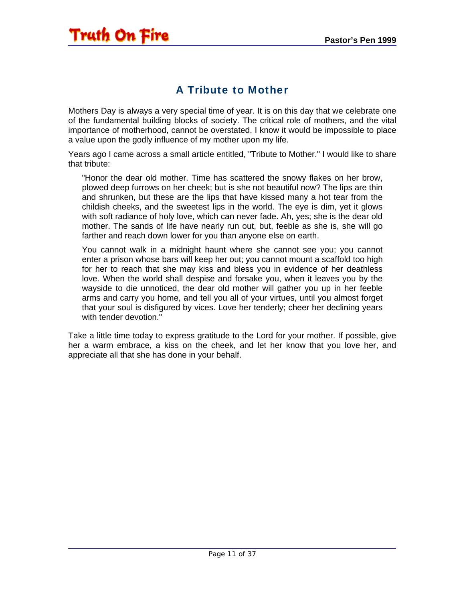#### A Tribute to Mother

<span id="page-10-0"></span>Mothers Day is always a very special time of year. It is on this day that we celebrate one of the fundamental building blocks of society. The critical role of mothers, and the vital importance of motherhood, cannot be overstated. I know it would be impossible to place a value upon the godly influence of my mother upon my life.

Years ago I came across a small article entitled, "Tribute to Mother." I would like to share that tribute:

"Honor the dear old mother. Time has scattered the snowy flakes on her brow, plowed deep furrows on her cheek; but is she not beautiful now? The lips are thin and shrunken, but these are the lips that have kissed many a hot tear from the childish cheeks, and the sweetest lips in the world. The eye is dim, yet it glows with soft radiance of holy love, which can never fade. Ah, yes; she is the dear old mother. The sands of life have nearly run out, but, feeble as she is, she will go farther and reach down lower for you than anyone else on earth.

You cannot walk in a midnight haunt where she cannot see you; you cannot enter a prison whose bars will keep her out; you cannot mount a scaffold too high for her to reach that she may kiss and bless you in evidence of her deathless love. When the world shall despise and forsake you, when it leaves you by the wayside to die unnoticed, the dear old mother will gather you up in her feeble arms and carry you home, and tell you all of your virtues, until you almost forget that your soul is disfigured by vices. Love her tenderly; cheer her declining years with tender devotion."

Take a little time today to express gratitude to the Lord for your mother. If possible, give her a warm embrace, a kiss on the cheek, and let her know that you love her, and appreciate all that she has done in your behalf.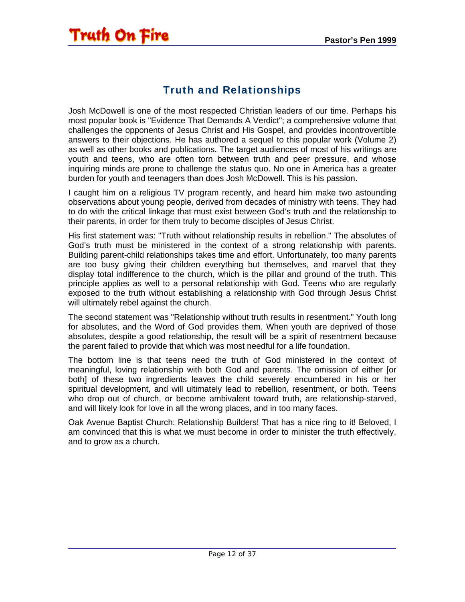### Truth and Relationships

<span id="page-11-0"></span>Josh McDowell is one of the most respected Christian leaders of our time. Perhaps his most popular book is "Evidence That Demands A Verdict"; a comprehensive volume that challenges the opponents of Jesus Christ and His Gospel, and provides incontrovertible answers to their objections. He has authored a sequel to this popular work (Volume 2) as well as other books and publications. The target audiences of most of his writings are youth and teens, who are often torn between truth and peer pressure, and whose inquiring minds are prone to challenge the status quo. No one in America has a greater burden for youth and teenagers than does Josh McDowell. This is his passion.

I caught him on a religious TV program recently, and heard him make two astounding observations about young people, derived from decades of ministry with teens. They had to do with the critical linkage that must exist between God's truth and the relationship to their parents, in order for them truly to become disciples of Jesus Christ.

His first statement was: "Truth without relationship results in rebellion." The absolutes of God's truth must be ministered in the context of a strong relationship with parents. Building parent-child relationships takes time and effort. Unfortunately, too many parents are too busy giving their children everything but themselves, and marvel that they display total indifference to the church, which is the pillar and ground of the truth. This principle applies as well to a personal relationship with God. Teens who are regularly exposed to the truth without establishing a relationship with God through Jesus Christ will ultimately rebel against the church.

The second statement was "Relationship without truth results in resentment." Youth long for absolutes, and the Word of God provides them. When youth are deprived of those absolutes, despite a good relationship, the result will be a spirit of resentment because the parent failed to provide that which was most needful for a life foundation.

The bottom line is that teens need the truth of God ministered in the context of meaningful, loving relationship with both God and parents. The omission of either [or both] of these two ingredients leaves the child severely encumbered in his or her spiritual development, and will ultimately lead to rebellion, resentment, or both. Teens who drop out of church, or become ambivalent toward truth, are relationship-starved, and will likely look for love in all the wrong places, and in too many faces.

Oak Avenue Baptist Church: Relationship Builders! That has a nice ring to it! Beloved, I am convinced that this is what we must become in order to minister the truth effectively, and to grow as a church.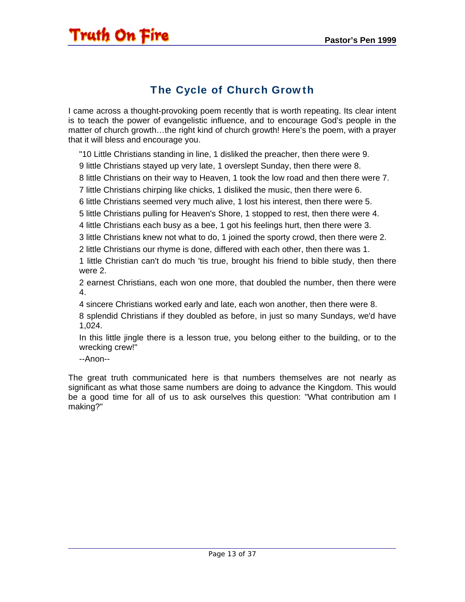#### The Cycle of Church Growth

<span id="page-12-0"></span>I came across a thought-provoking poem recently that is worth repeating. Its clear intent is to teach the power of evangelistic influence, and to encourage God's people in the matter of church growth…the right kind of church growth! Here's the poem, with a prayer that it will bless and encourage you.

"10 Little Christians standing in line, 1 disliked the preacher, then there were 9.

9 little Christians stayed up very late, 1 overslept Sunday, then there were 8.

8 little Christians on their way to Heaven, 1 took the low road and then there were 7.

7 little Christians chirping like chicks, 1 disliked the music, then there were 6.

6 little Christians seemed very much alive, 1 lost his interest, then there were 5.

5 little Christians pulling for Heaven's Shore, 1 stopped to rest, then there were 4.

4 little Christians each busy as a bee, 1 got his feelings hurt, then there were 3.

3 little Christians knew not what to do, 1 joined the sporty crowd, then there were 2.

2 little Christians our rhyme is done, differed with each other, then there was 1.

1 little Christian can't do much 'tis true, brought his friend to bible study, then there were 2.

2 earnest Christians, each won one more, that doubled the number, then there were 4.

4 sincere Christians worked early and late, each won another, then there were 8.

8 splendid Christians if they doubled as before, in just so many Sundays, we'd have 1,024.

In this little jingle there is a lesson true, you belong either to the building, or to the wrecking crew!"

--Anon--

The great truth communicated here is that numbers themselves are not nearly as significant as what those same numbers are doing to advance the Kingdom. This would be a good time for all of us to ask ourselves this question: "What contribution am I making?"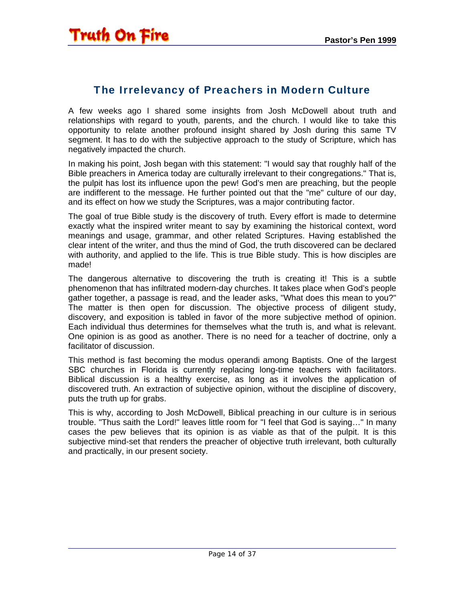#### <span id="page-13-0"></span>The Irrelevancy of Preachers in Modern Culture

A few weeks ago I shared some insights from Josh McDowell about truth and relationships with regard to youth, parents, and the church. I would like to take this opportunity to relate another profound insight shared by Josh during this same TV segment. It has to do with the subjective approach to the study of Scripture, which has negatively impacted the church.

In making his point, Josh began with this statement: "I would say that roughly half of the Bible preachers in America today are culturally irrelevant to their congregations." That is, the pulpit has lost its influence upon the pew! God's men are preaching, but the people are indifferent to the message. He further pointed out that the "me" culture of our day, and its effect on how we study the Scriptures, was a major contributing factor.

The goal of true Bible study is the discovery of truth. Every effort is made to determine exactly what the inspired writer meant to say by examining the historical context, word meanings and usage, grammar, and other related Scriptures. Having established the clear intent of the writer, and thus the mind of God, the truth discovered can be declared with authority, and applied to the life. This is true Bible study. This is how disciples are made!

The dangerous alternative to discovering the truth is creating it! This is a subtle phenomenon that has infiltrated modern-day churches. It takes place when God's people gather together, a passage is read, and the leader asks, "What does this mean to you?" The matter is then open for discussion. The objective process of diligent study, discovery, and exposition is tabled in favor of the more subjective method of opinion. Each individual thus determines for themselves what the truth is, and what is relevant. One opinion is as good as another. There is no need for a teacher of doctrine, only a facilitator of discussion.

This method is fast becoming the modus operandi among Baptists. One of the largest SBC churches in Florida is currently replacing long-time teachers with facilitators. Biblical discussion is a healthy exercise, as long as it involves the application of discovered truth. An extraction of subjective opinion, without the discipline of discovery, puts the truth up for grabs.

This is why, according to Josh McDowell, Biblical preaching in our culture is in serious trouble. "Thus saith the Lord!" leaves little room for "I feel that God is saying…" In many cases the pew believes that its opinion is as viable as that of the pulpit. It is this subjective mind-set that renders the preacher of objective truth irrelevant, both culturally and practically, in our present society.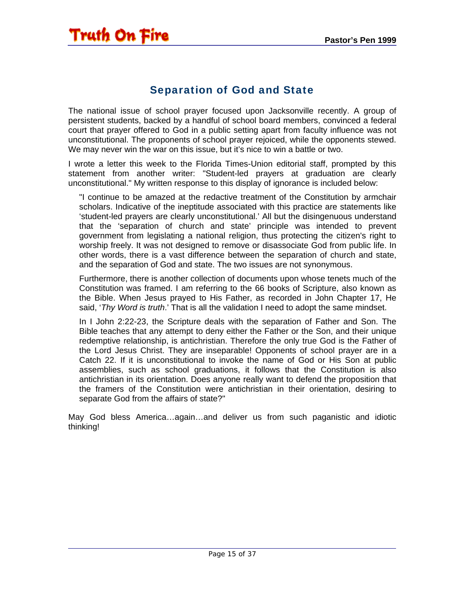#### Separation of God and State

<span id="page-14-0"></span>The national issue of school prayer focused upon Jacksonville recently. A group of persistent students, backed by a handful of school board members, convinced a federal court that prayer offered to God in a public setting apart from faculty influence was not unconstitutional. The proponents of school prayer rejoiced, while the opponents stewed. We may never win the war on this issue, but it's nice to win a battle or two.

I wrote a letter this week to the Florida Times-Union editorial staff, prompted by this statement from another writer: "Student-led prayers at graduation are clearly unconstitutional." My written response to this display of ignorance is included below:

"I continue to be amazed at the redactive treatment of the Constitution by armchair scholars. Indicative of the ineptitude associated with this practice are statements like 'student-led prayers are clearly unconstitutional.' All but the disingenuous understand that the 'separation of church and state' principle was intended to prevent government from legislating a national religion, thus protecting the citizen's right to worship freely. It was not designed to remove or disassociate God from public life. In other words, there is a vast difference between the separation of church and state, and the separation of God and state. The two issues are not synonymous.

Furthermore, there is another collection of documents upon whose tenets much of the Constitution was framed. I am referring to the 66 books of Scripture, also known as the Bible. When Jesus prayed to His Father, as recorded in John Chapter 17, He said, '*Thy Word is truth*.' That is all the validation I need to adopt the same mindset.

In I John 2:22-23, the Scripture deals with the separation of Father and Son. The Bible teaches that any attempt to deny either the Father or the Son, and their unique redemptive relationship, is antichristian. Therefore the only true God is the Father of the Lord Jesus Christ. They are inseparable! Opponents of school prayer are in a Catch 22. If it is unconstitutional to invoke the name of God or His Son at public assemblies, such as school graduations, it follows that the Constitution is also antichristian in its orientation. Does anyone really want to defend the proposition that the framers of the Constitution were antichristian in their orientation, desiring to separate God from the affairs of state?"

May God bless America…again…and deliver us from such paganistic and idiotic thinking!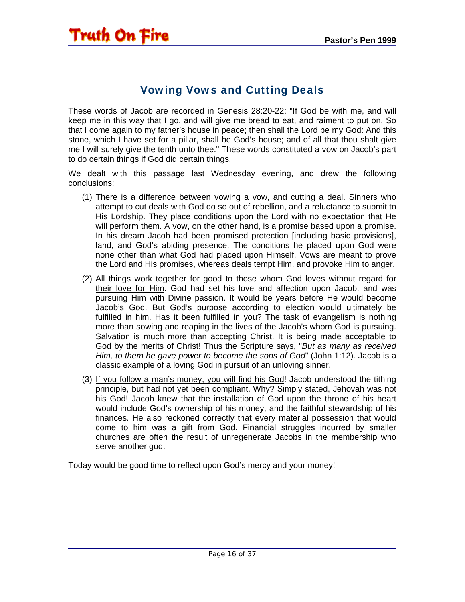#### Vowing Vows and Cutting Deals

<span id="page-15-0"></span>These words of Jacob are recorded in Genesis 28:20-22: "If God be with me, and will keep me in this way that I go, and will give me bread to eat, and raiment to put on, So that I come again to my father's house in peace; then shall the Lord be my God: And this stone, which I have set for a pillar, shall be God's house; and of all that thou shalt give me I will surely give the tenth unto thee." These words constituted a vow on Jacob's part to do certain things if God did certain things.

We dealt with this passage last Wednesday evening, and drew the following conclusions:

- (1) There is a difference between vowing a vow, and cutting a deal. Sinners who attempt to cut deals with God do so out of rebellion, and a reluctance to submit to His Lordship. They place conditions upon the Lord with no expectation that He will perform them. A vow, on the other hand, is a promise based upon a promise. In his dream Jacob had been promised protection [including basic provisions], land, and God's abiding presence. The conditions he placed upon God were none other than what God had placed upon Himself. Vows are meant to prove the Lord and His promises, whereas deals tempt Him, and provoke Him to anger.
- (2) All things work together for good to those whom God loves without regard for their love for Him. God had set his love and affection upon Jacob, and was pursuing Him with Divine passion. It would be years before He would become Jacob's God. But God's purpose according to election would ultimately be fulfilled in him. Has it been fulfilled in you? The task of evangelism is nothing more than sowing and reaping in the lives of the Jacob's whom God is pursuing. Salvation is much more than accepting Christ. It is being made acceptable to God by the merits of Christ! Thus the Scripture says, "*But as many as received Him, to them he gave power to become the sons of God*" (John 1:12). Jacob is a classic example of a loving God in pursuit of an unloving sinner.
- (3) If you follow a man's money, you will find his God! Jacob understood the tithing principle, but had not yet been compliant. Why? Simply stated, Jehovah was not his God! Jacob knew that the installation of God upon the throne of his heart would include God's ownership of his money, and the faithful stewardship of his finances. He also reckoned correctly that every material possession that would come to him was a gift from God. Financial struggles incurred by smaller churches are often the result of unregenerate Jacobs in the membership who serve another god.

Today would be good time to reflect upon God's mercy and your money!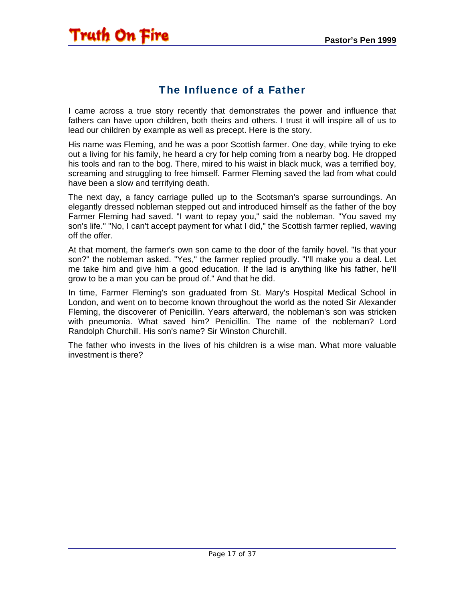#### The Influence of a Father

<span id="page-16-0"></span>I came across a true story recently that demonstrates the power and influence that fathers can have upon children, both theirs and others. I trust it will inspire all of us to lead our children by example as well as precept. Here is the story.

His name was Fleming, and he was a poor Scottish farmer. One day, while trying to eke out a living for his family, he heard a cry for help coming from a nearby bog. He dropped his tools and ran to the bog. There, mired to his waist in black muck, was a terrified boy, screaming and struggling to free himself. Farmer Fleming saved the lad from what could have been a slow and terrifying death.

The next day, a fancy carriage pulled up to the Scotsman's sparse surroundings. An elegantly dressed nobleman stepped out and introduced himself as the father of the boy Farmer Fleming had saved. "I want to repay you," said the nobleman. "You saved my son's life." "No, I can't accept payment for what I did," the Scottish farmer replied, waving off the offer.

At that moment, the farmer's own son came to the door of the family hovel. "Is that your son?" the nobleman asked. "Yes," the farmer replied proudly. "I'll make you a deal. Let me take him and give him a good education. If the lad is anything like his father, he'll grow to be a man you can be proud of." And that he did.

In time, Farmer Fleming's son graduated from St. Mary's Hospital Medical School in London, and went on to become known throughout the world as the noted Sir Alexander Fleming, the discoverer of Penicillin. Years afterward, the nobleman's son was stricken with pneumonia. What saved him? Penicillin. The name of the nobleman? Lord Randolph Churchill. His son's name? Sir Winston Churchill.

The father who invests in the lives of his children is a wise man. What more valuable investment is there?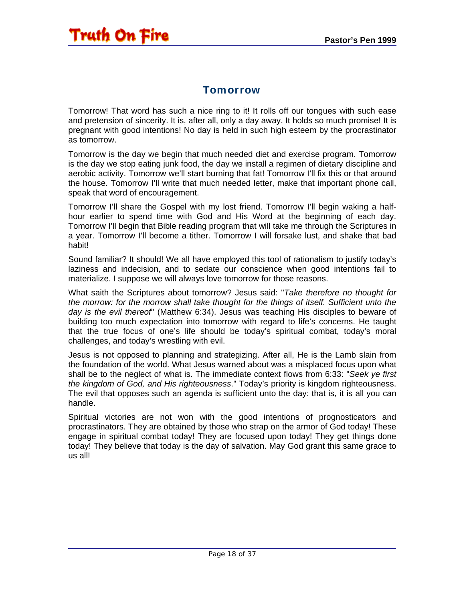#### Tomorrow

<span id="page-17-0"></span>Tomorrow! That word has such a nice ring to it! It rolls off our tongues with such ease and pretension of sincerity. It is, after all, only a day away. It holds so much promise! It is pregnant with good intentions! No day is held in such high esteem by the procrastinator as tomorrow.

Tomorrow is the day we begin that much needed diet and exercise program. Tomorrow is the day we stop eating junk food, the day we install a regimen of dietary discipline and aerobic activity. Tomorrow we'll start burning that fat! Tomorrow I'll fix this or that around the house. Tomorrow I'll write that much needed letter, make that important phone call, speak that word of encouragement.

Tomorrow I'll share the Gospel with my lost friend. Tomorrow I'll begin waking a halfhour earlier to spend time with God and His Word at the beginning of each day. Tomorrow I'll begin that Bible reading program that will take me through the Scriptures in a year. Tomorrow I'll become a tither. Tomorrow I will forsake lust, and shake that bad habit!

Sound familiar? It should! We all have employed this tool of rationalism to justify today's laziness and indecision, and to sedate our conscience when good intentions fail to materialize. I suppose we will always love tomorrow for those reasons.

What saith the Scriptures about tomorrow? Jesus said: "*Take therefore no thought for the morrow: for the morrow shall take thought for the things of itself. Sufficient unto the day is the evil thereof*" (Matthew 6:34). Jesus was teaching His disciples to beware of building too much expectation into tomorrow with regard to life's concerns. He taught that the true focus of one's life should be today's spiritual combat, today's moral challenges, and today's wrestling with evil.

Jesus is not opposed to planning and strategizing. After all, He is the Lamb slain from the foundation of the world. What Jesus warned about was a misplaced focus upon what shall be to the neglect of what is. The immediate context flows from 6:33: "*Seek ye first the kingdom of God, and His righteousness*." Today's priority is kingdom righteousness. The evil that opposes such an agenda is sufficient unto the day: that is, it is all you can handle.

Spiritual victories are not won with the good intentions of prognosticators and procrastinators. They are obtained by those who strap on the armor of God today! These engage in spiritual combat today! They are focused upon today! They get things done today! They believe that today is the day of salvation. May God grant this same grace to us all!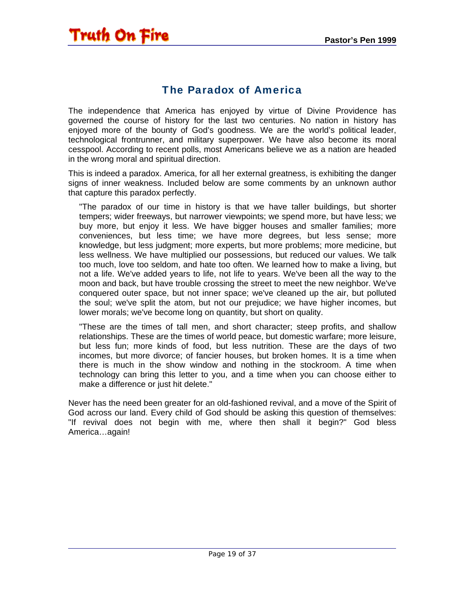#### The Paradox of America

<span id="page-18-0"></span>The independence that America has enjoyed by virtue of Divine Providence has governed the course of history for the last two centuries. No nation in history has enjoyed more of the bounty of God's goodness. We are the world's political leader, technological frontrunner, and military superpower. We have also become its moral cesspool. According to recent polls, most Americans believe we as a nation are headed in the wrong moral and spiritual direction.

This is indeed a paradox. America, for all her external greatness, is exhibiting the danger signs of inner weakness. Included below are some comments by an unknown author that capture this paradox perfectly.

"The paradox of our time in history is that we have taller buildings, but shorter tempers; wider freeways, but narrower viewpoints; we spend more, but have less; we buy more, but enjoy it less. We have bigger houses and smaller families; more conveniences, but less time; we have more degrees, but less sense; more knowledge, but less judgment; more experts, but more problems; more medicine, but less wellness. We have multiplied our possessions, but reduced our values. We talk too much, love too seldom, and hate too often. We learned how to make a living, but not a life. We've added years to life, not life to years. We've been all the way to the moon and back, but have trouble crossing the street to meet the new neighbor. We've conquered outer space, but not inner space; we've cleaned up the air, but polluted the soul; we've split the atom, but not our prejudice; we have higher incomes, but lower morals; we've become long on quantity, but short on quality.

"These are the times of tall men, and short character; steep profits, and shallow relationships. These are the times of world peace, but domestic warfare; more leisure, but less fun; more kinds of food, but less nutrition. These are the days of two incomes, but more divorce; of fancier houses, but broken homes. It is a time when there is much in the show window and nothing in the stockroom. A time when technology can bring this letter to you, and a time when you can choose either to make a difference or just hit delete."

Never has the need been greater for an old-fashioned revival, and a move of the Spirit of God across our land. Every child of God should be asking this question of themselves: "If revival does not begin with me, where then shall it begin?" God bless America…again!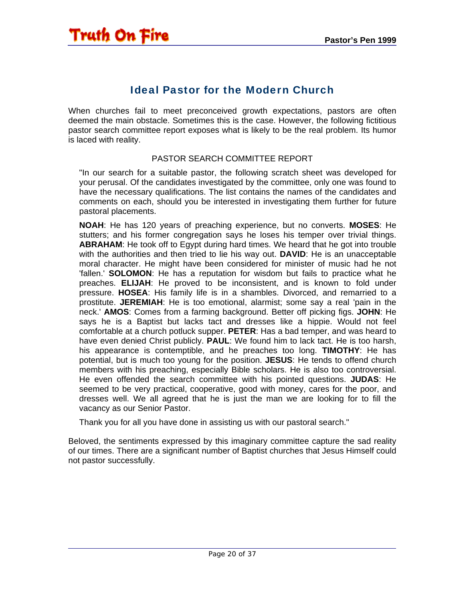#### Ideal Pastor for the Modern Church

<span id="page-19-0"></span>When churches fail to meet preconceived growth expectations, pastors are often deemed the main obstacle. Sometimes this is the case. However, the following fictitious pastor search committee report exposes what is likely to be the real problem. Its humor is laced with reality.

#### PASTOR SEARCH COMMITTEE REPORT

"In our search for a suitable pastor, the following scratch sheet was developed for your perusal. Of the candidates investigated by the committee, only one was found to have the necessary qualifications. The list contains the names of the candidates and comments on each, should you be interested in investigating them further for future pastoral placements.

**NOAH**: He has 120 years of preaching experience, but no converts. **MOSES**: He stutters; and his former congregation says he loses his temper over trivial things. **ABRAHAM**: He took off to Egypt during hard times. We heard that he got into trouble with the authorities and then tried to lie his way out. **DAVID**: He is an unacceptable moral character. He might have been considered for minister of music had he not 'fallen.' **SOLOMON**: He has a reputation for wisdom but fails to practice what he preaches. **ELIJAH**: He proved to be inconsistent, and is known to fold under pressure. **HOSEA**: His family life is in a shambles. Divorced, and remarried to a prostitute. **JEREMIAH**: He is too emotional, alarmist; some say a real 'pain in the neck.' **AMOS**: Comes from a farming background. Better off picking figs. **JOHN**: He says he is a Baptist but lacks tact and dresses like a hippie. Would not feel comfortable at a church potluck supper. **PETER**: Has a bad temper, and was heard to have even denied Christ publicly. **PAUL**: We found him to lack tact. He is too harsh, his appearance is contemptible, and he preaches too long. **TIMOTHY**: He has potential, but is much too young for the position. **JESUS**: He tends to offend church members with his preaching, especially Bible scholars. He is also too controversial. He even offended the search committee with his pointed questions. **JUDAS**: He seemed to be very practical, cooperative, good with money, cares for the poor, and dresses well. We all agreed that he is just the man we are looking for to fill the vacancy as our Senior Pastor.

Thank you for all you have done in assisting us with our pastoral search."

Beloved, the sentiments expressed by this imaginary committee capture the sad reality of our times. There are a significant number of Baptist churches that Jesus Himself could not pastor successfully.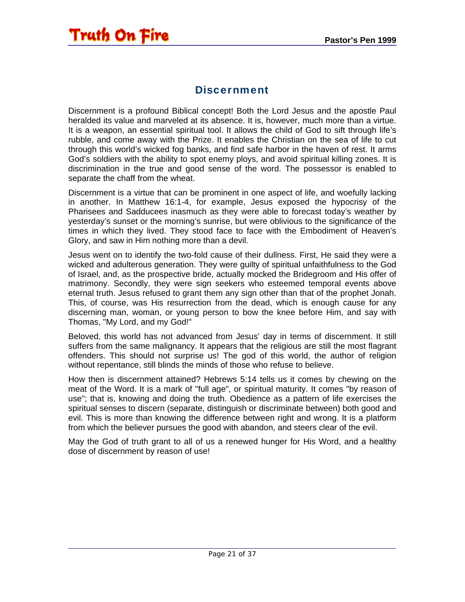#### Discernment

<span id="page-20-0"></span>Discernment is a profound Biblical concept! Both the Lord Jesus and the apostle Paul heralded its value and marveled at its absence. It is, however, much more than a virtue. It is a weapon, an essential spiritual tool. It allows the child of God to sift through life's rubble, and come away with the Prize. It enables the Christian on the sea of life to cut through this world's wicked fog banks, and find safe harbor in the haven of rest. It arms God's soldiers with the ability to spot enemy ploys, and avoid spiritual killing zones. It is discrimination in the true and good sense of the word. The possessor is enabled to separate the chaff from the wheat.

Discernment is a virtue that can be prominent in one aspect of life, and woefully lacking in another. In Matthew 16:1-4, for example, Jesus exposed the hypocrisy of the Pharisees and Sadducees inasmuch as they were able to forecast today's weather by yesterday's sunset or the morning's sunrise, but were oblivious to the significance of the times in which they lived. They stood face to face with the Embodiment of Heaven's Glory, and saw in Him nothing more than a devil.

Jesus went on to identify the two-fold cause of their dullness. First, He said they were a wicked and adulterous generation. They were guilty of spiritual unfaithfulness to the God of Israel, and, as the prospective bride, actually mocked the Bridegroom and His offer of matrimony. Secondly, they were sign seekers who esteemed temporal events above eternal truth. Jesus refused to grant them any sign other than that of the prophet Jonah. This, of course, was His resurrection from the dead, which is enough cause for any discerning man, woman, or young person to bow the knee before Him, and say with Thomas, "My Lord, and my God!"

Beloved, this world has not advanced from Jesus' day in terms of discernment. It still suffers from the same malignancy. It appears that the religious are still the most flagrant offenders. This should not surprise us! The god of this world, the author of religion without repentance, still blinds the minds of those who refuse to believe.

How then is discernment attained? Hebrews 5:14 tells us it comes by chewing on the meat of the Word. It is a mark of "full age", or spiritual maturity. It comes "by reason of use"; that is, knowing and doing the truth. Obedience as a pattern of life exercises the spiritual senses to discern (separate, distinguish or discriminate between) both good and evil. This is more than knowing the difference between right and wrong. It is a platform from which the believer pursues the good with abandon, and steers clear of the evil.

May the God of truth grant to all of us a renewed hunger for His Word, and a healthy dose of discernment by reason of use!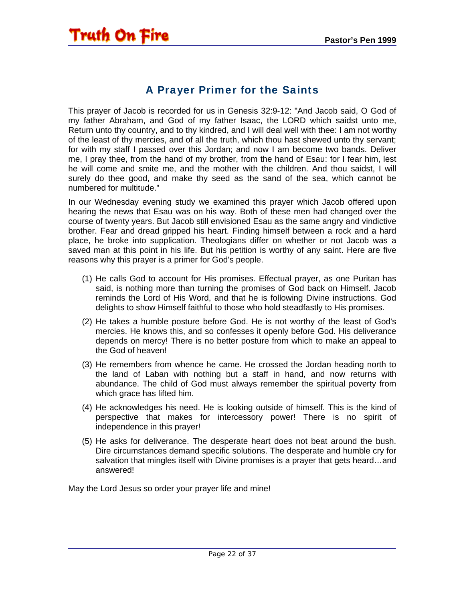#### A Prayer Primer for the Saints

<span id="page-21-0"></span>This prayer of Jacob is recorded for us in Genesis 32:9-12: "And Jacob said, O God of my father Abraham, and God of my father Isaac, the LORD which saidst unto me, Return unto thy country, and to thy kindred, and I will deal well with thee: I am not worthy of the least of thy mercies, and of all the truth, which thou hast shewed unto thy servant; for with my staff I passed over this Jordan; and now I am become two bands. Deliver me, I pray thee, from the hand of my brother, from the hand of Esau: for I fear him, lest he will come and smite me, and the mother with the children. And thou saidst, I will surely do thee good, and make thy seed as the sand of the sea, which cannot be numbered for multitude."

In our Wednesday evening study we examined this prayer which Jacob offered upon hearing the news that Esau was on his way. Both of these men had changed over the course of twenty years. But Jacob still envisioned Esau as the same angry and vindictive brother. Fear and dread gripped his heart. Finding himself between a rock and a hard place, he broke into supplication. Theologians differ on whether or not Jacob was a saved man at this point in his life. But his petition is worthy of any saint. Here are five reasons why this prayer is a primer for God's people.

- (1) He calls God to account for His promises. Effectual prayer, as one Puritan has said, is nothing more than turning the promises of God back on Himself. Jacob reminds the Lord of His Word, and that he is following Divine instructions. God delights to show Himself faithful to those who hold steadfastly to His promises.
- (2) He takes a humble posture before God. He is not worthy of the least of God's mercies. He knows this, and so confesses it openly before God. His deliverance depends on mercy! There is no better posture from which to make an appeal to the God of heaven!
- (3) He remembers from whence he came. He crossed the Jordan heading north to the land of Laban with nothing but a staff in hand, and now returns with abundance. The child of God must always remember the spiritual poverty from which grace has lifted him.
- (4) He acknowledges his need. He is looking outside of himself. This is the kind of perspective that makes for intercessory power! There is no spirit of independence in this prayer!
- (5) He asks for deliverance. The desperate heart does not beat around the bush. Dire circumstances demand specific solutions. The desperate and humble cry for salvation that mingles itself with Divine promises is a prayer that gets heard…and answered!

May the Lord Jesus so order your prayer life and mine!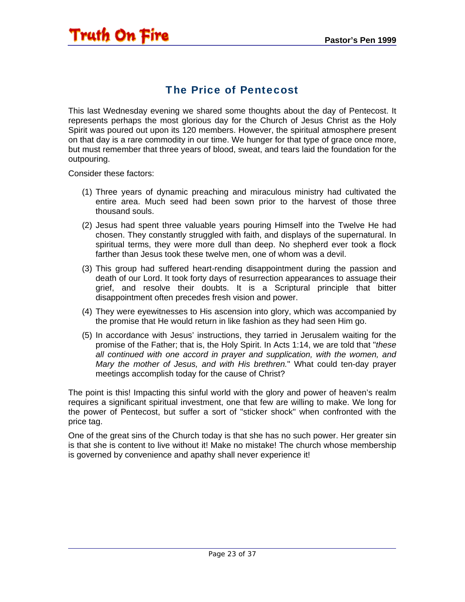#### The Price of Pentecost

<span id="page-22-0"></span>This last Wednesday evening we shared some thoughts about the day of Pentecost. It represents perhaps the most glorious day for the Church of Jesus Christ as the Holy Spirit was poured out upon its 120 members. However, the spiritual atmosphere present on that day is a rare commodity in our time. We hunger for that type of grace once more, but must remember that three years of blood, sweat, and tears laid the foundation for the outpouring.

Consider these factors:

- (1) Three years of dynamic preaching and miraculous ministry had cultivated the entire area. Much seed had been sown prior to the harvest of those three thousand souls.
- (2) Jesus had spent three valuable years pouring Himself into the Twelve He had chosen. They constantly struggled with faith, and displays of the supernatural. In spiritual terms, they were more dull than deep. No shepherd ever took a flock farther than Jesus took these twelve men, one of whom was a devil.
- (3) This group had suffered heart-rending disappointment during the passion and death of our Lord. It took forty days of resurrection appearances to assuage their grief, and resolve their doubts. It is a Scriptural principle that bitter disappointment often precedes fresh vision and power.
- (4) They were eyewitnesses to His ascension into glory, which was accompanied by the promise that He would return in like fashion as they had seen Him go.
- (5) In accordance with Jesus' instructions, they tarried in Jerusalem waiting for the promise of the Father; that is, the Holy Spirit. In Acts 1:14, we are told that "*these all continued with one accord in prayer and supplication, with the women, and Mary the mother of Jesus, and with His brethren.*" What could ten-day prayer meetings accomplish today for the cause of Christ?

The point is this! Impacting this sinful world with the glory and power of heaven's realm requires a significant spiritual investment, one that few are willing to make. We long for the power of Pentecost, but suffer a sort of "sticker shock" when confronted with the price tag.

One of the great sins of the Church today is that she has no such power. Her greater sin is that she is content to live without it! Make no mistake! The church whose membership is governed by convenience and apathy shall never experience it!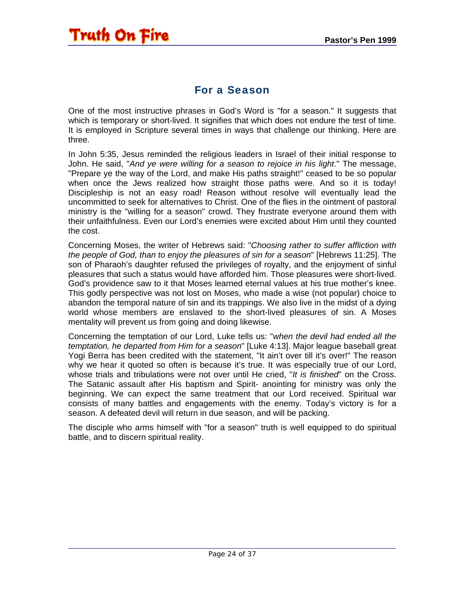#### For a Season

<span id="page-23-0"></span>One of the most instructive phrases in God's Word is "for a season." It suggests that which is temporary or short-lived. It signifies that which does not endure the test of time. It is employed in Scripture several times in ways that challenge our thinking. Here are three.

In John 5:35, Jesus reminded the religious leaders in Israel of their initial response to John. He said, "*And ye were willing for a season to rejoice in his light*." The message, "Prepare ye the way of the Lord, and make His paths straight!" ceased to be so popular when once the Jews realized how straight those paths were. And so it is today! Discipleship is not an easy road! Reason without resolve will eventually lead the uncommitted to seek for alternatives to Christ. One of the flies in the ointment of pastoral ministry is the "willing for a season" crowd. They frustrate everyone around them with their unfaithfulness. Even our Lord's enemies were excited about Him until they counted the cost.

Concerning Moses, the writer of Hebrews said: "*Choosing rather to suffer affliction with the people of God, than to enjoy the pleasures of sin for a season*" [Hebrews 11:25]. The son of Pharaoh's daughter refused the privileges of royalty, and the enjoyment of sinful pleasures that such a status would have afforded him. Those pleasures were short-lived. God's providence saw to it that Moses learned eternal values at his true mother's knee. This godly perspective was not lost on Moses, who made a wise (not popular) choice to abandon the temporal nature of sin and its trappings. We also live in the midst of a dying world whose members are enslaved to the short-lived pleasures of sin. A Moses mentality will prevent us from going and doing likewise.

Concerning the temptation of our Lord, Luke tells us: "*when the devil had ended all the temptation, he departed from Him for a season*" [Luke 4:13]. Major league baseball great Yogi Berra has been credited with the statement, "It ain't over till it's over!" The reason why we hear it quoted so often is because it's true. It was especially true of our Lord, whose trials and tribulations were not over until He cried, "*It is finished*" on the Cross. The Satanic assault after His baptism and Spirit- anointing for ministry was only the beginning. We can expect the same treatment that our Lord received. Spiritual war consists of many battles and engagements with the enemy. Today's victory is for a season. A defeated devil will return in due season, and will be packing.

The disciple who arms himself with "for a season" truth is well equipped to do spiritual battle, and to discern spiritual reality.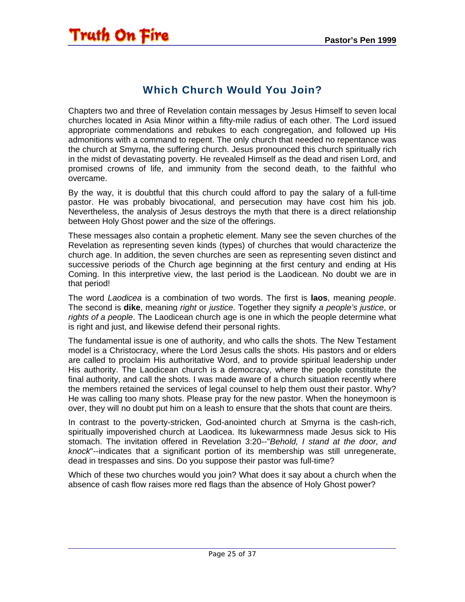#### Which Church Would You Join?

<span id="page-24-0"></span>Chapters two and three of Revelation contain messages by Jesus Himself to seven local churches located in Asia Minor within a fifty-mile radius of each other. The Lord issued appropriate commendations and rebukes to each congregation, and followed up His admonitions with a command to repent. The only church that needed no repentance was the church at Smyrna, the suffering church. Jesus pronounced this church spiritually rich in the midst of devastating poverty. He revealed Himself as the dead and risen Lord, and promised crowns of life, and immunity from the second death, to the faithful who overcame.

By the way, it is doubtful that this church could afford to pay the salary of a full-time pastor. He was probably bivocational, and persecution may have cost him his job. Nevertheless, the analysis of Jesus destroys the myth that there is a direct relationship between Holy Ghost power and the size of the offerings.

These messages also contain a prophetic element. Many see the seven churches of the Revelation as representing seven kinds (types) of churches that would characterize the church age. In addition, the seven churches are seen as representing seven distinct and successive periods of the Church age beginning at the first century and ending at His Coming. In this interpretive view, the last period is the Laodicean. No doubt we are in that period!

The word *Laodicea* is a combination of two words. The first is **laos**, meaning *people*. The second is **dike**, meaning *right* or *justice*. Together they signify *a people's justice*, or *rights of a people*. The Laodicean church age is one in which the people determine what is right and just, and likewise defend their personal rights.

The fundamental issue is one of authority, and who calls the shots. The New Testament model is a Christocracy, where the Lord Jesus calls the shots. His pastors and or elders are called to proclaim His authoritative Word, and to provide spiritual leadership under His authority. The Laodicean church is a democracy, where the people constitute the final authority, and call the shots. I was made aware of a church situation recently where the members retained the services of legal counsel to help them oust their pastor. Why? He was calling too many shots. Please pray for the new pastor. When the honeymoon is over, they will no doubt put him on a leash to ensure that the shots that count are theirs.

In contrast to the poverty-stricken, God-anointed church at Smyrna is the cash-rich, spiritually impoverished church at Laodicea. Its lukewarmness made Jesus sick to His stomach. The invitation offered in Revelation 3:20--"*Behold, I stand at the door, and knock*"--indicates that a significant portion of its membership was still unregenerate, dead in trespasses and sins. Do you suppose their pastor was full-time?

Which of these two churches would you join? What does it say about a church when the absence of cash flow raises more red flags than the absence of Holy Ghost power?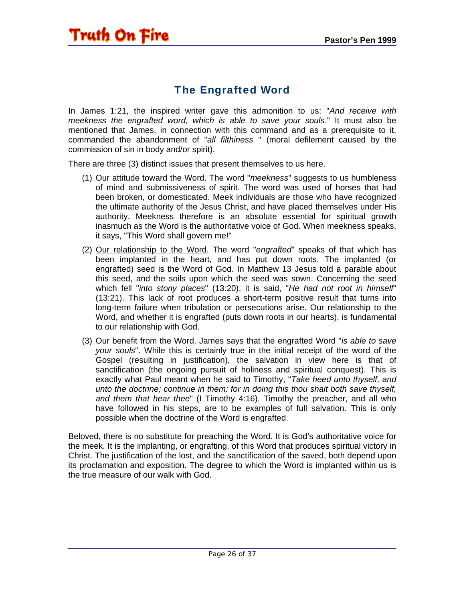#### The Engrafted Word

<span id="page-25-0"></span>In James 1:21, the inspired writer gave this admonition to us: "*And receive with meekness the engrafted word, which is able to save your souls*." It must also be mentioned that James, in connection with this command and as a prerequisite to it, commanded the abandonment of "*all filthiness* " (moral defilement caused by the commission of sin in body and/or spirit).

There are three (3) distinct issues that present themselves to us here.

- (1) Our attitude toward the Word. The word "*meekness*" suggests to us humbleness of mind and submissiveness of spirit. The word was used of horses that had been broken, or domesticated. Meek individuals are those who have recognized the ultimate authority of the Jesus Christ, and have placed themselves under His authority. Meekness therefore is an absolute essential for spiritual growth inasmuch as the Word is the authoritative voice of God. When meekness speaks, it says, "This Word shall govern me!"
- (2) Our relationship to the Word. The word "*engrafted*" speaks of that which has been implanted in the heart, and has put down roots. The implanted (or engrafted) seed is the Word of God. In Matthew 13 Jesus told a parable about this seed, and the soils upon which the seed was sown. Concerning the seed which fell "*into stony places*" (13:20), it is said, "*He had not root in himself*" (13:21). This lack of root produces a short-term positive result that turns into long-term failure when tribulation or persecutions arise. Our relationship to the Word, and whether it is engrafted (puts down roots in our hearts), is fundamental to our relationship with God.
- (3) Our benefit from the Word. James says that the engrafted Word "*is able to save your souls*". While this is certainly true in the initial receipt of the word of the Gospel (resulting in justification), the salvation in view here is that of sanctification (the ongoing pursuit of holiness and spiritual conquest). This is exactly what Paul meant when he said to Timothy, "*Take heed unto thyself, and unto the doctrine; continue in them: for in doing this thou shalt both save thyself, and them that hear thee*" (I Timothy 4:16). Timothy the preacher, and all who have followed in his steps, are to be examples of full salvation. This is only possible when the doctrine of the Word is engrafted.

Beloved, there is no substitute for preaching the Word. It is God's authoritative voice for the meek. It is the implanting, or engrafting, of this Word that produces spiritual victory in Christ. The justification of the lost, and the sanctification of the saved, both depend upon its proclamation and exposition. The degree to which the Word is implanted within us is the true measure of our walk with God.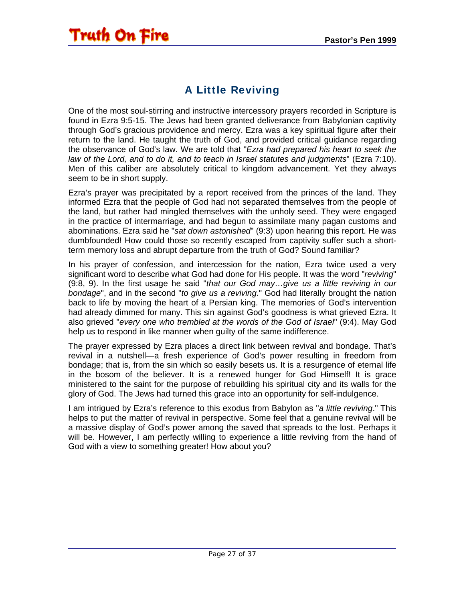### A Little Reviving

<span id="page-26-0"></span>One of the most soul-stirring and instructive intercessory prayers recorded in Scripture is found in Ezra 9:5-15. The Jews had been granted deliverance from Babylonian captivity through God's gracious providence and mercy. Ezra was a key spiritual figure after their return to the land. He taught the truth of God, and provided critical guidance regarding the observance of God's law. We are told that "*Ezra had prepared his heart to seek the law of the Lord, and to do it, and to teach in Israel statutes and judgments*" (Ezra 7:10). Men of this caliber are absolutely critical to kingdom advancement. Yet they always seem to be in short supply.

Ezra's prayer was precipitated by a report received from the princes of the land. They informed Ezra that the people of God had not separated themselves from the people of the land, but rather had mingled themselves with the unholy seed. They were engaged in the practice of intermarriage, and had begun to assimilate many pagan customs and abominations. Ezra said he "*sat down astonished*" (9:3) upon hearing this report. He was dumbfounded! How could those so recently escaped from captivity suffer such a shortterm memory loss and abrupt departure from the truth of God? Sound familiar?

In his prayer of confession, and intercession for the nation, Ezra twice used a very significant word to describe what God had done for His people. It was the word "*reviving*" (9:8, 9). In the first usage he said "*that our God may…give us a little reviving in our bondage*", and in the second "*to give us a reviving*." God had literally brought the nation back to life by moving the heart of a Persian king. The memories of God's intervention had already dimmed for many. This sin against God's goodness is what grieved Ezra. It also grieved "*every one who trembled at the words of the God of Israel*" (9:4). May God help us to respond in like manner when guilty of the same indifference.

The prayer expressed by Ezra places a direct link between revival and bondage. That's revival in a nutshell—a fresh experience of God's power resulting in freedom from bondage; that is, from the sin which so easily besets us. It is a resurgence of eternal life in the bosom of the believer. It is a renewed hunger for God Himself! It is grace ministered to the saint for the purpose of rebuilding his spiritual city and its walls for the glory of God. The Jews had turned this grace into an opportunity for self-indulgence.

I am intrigued by Ezra's reference to this exodus from Babylon as "*a little reviving*." This helps to put the matter of revival in perspective. Some feel that a genuine revival will be a massive display of God's power among the saved that spreads to the lost. Perhaps it will be. However, I am perfectly willing to experience a little reviving from the hand of God with a view to something greater! How about you?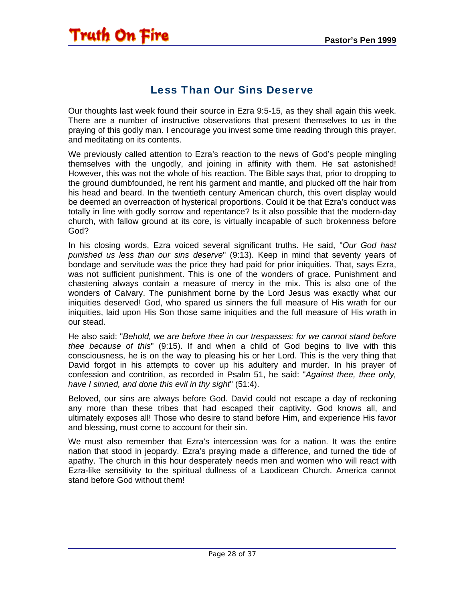#### Less Than Our Sins Deserve

<span id="page-27-0"></span>Our thoughts last week found their source in Ezra 9:5-15, as they shall again this week. There are a number of instructive observations that present themselves to us in the praying of this godly man. I encourage you invest some time reading through this prayer, and meditating on its contents.

We previously called attention to Ezra's reaction to the news of God's people mingling themselves with the ungodly, and joining in affinity with them. He sat astonished! However, this was not the whole of his reaction. The Bible says that, prior to dropping to the ground dumbfounded, he rent his garment and mantle, and plucked off the hair from his head and beard. In the twentieth century American church, this overt display would be deemed an overreaction of hysterical proportions. Could it be that Ezra's conduct was totally in line with godly sorrow and repentance? Is it also possible that the modern-day church, with fallow ground at its core, is virtually incapable of such brokenness before God?

In his closing words, Ezra voiced several significant truths. He said, "*Our God hast punished us less than our sins deserve*" (9:13). Keep in mind that seventy years of bondage and servitude was the price they had paid for prior iniquities. That, says Ezra, was not sufficient punishment. This is one of the wonders of grace. Punishment and chastening always contain a measure of mercy in the mix. This is also one of the wonders of Calvary. The punishment borne by the Lord Jesus was exactly what our iniquities deserved! God, who spared us sinners the full measure of His wrath for our iniquities, laid upon His Son those same iniquities and the full measure of His wrath in our stead.

He also said: "*Behold, we are before thee in our trespasses: for we cannot stand before thee because of this*" (9:15). If and when a child of God begins to live with this consciousness, he is on the way to pleasing his or her Lord. This is the very thing that David forgot in his attempts to cover up his adultery and murder. In his prayer of confession and contrition, as recorded in Psalm 51, he said: "*Against thee, thee only, have I sinned, and done this evil in thy sight*" (51:4).

Beloved, our sins are always before God. David could not escape a day of reckoning any more than these tribes that had escaped their captivity. God knows all, and ultimately exposes all! Those who desire to stand before Him, and experience His favor and blessing, must come to account for their sin.

We must also remember that Ezra's intercession was for a nation. It was the entire nation that stood in jeopardy. Ezra's praying made a difference, and turned the tide of apathy. The church in this hour desperately needs men and women who will react with Ezra-like sensitivity to the spiritual dullness of a Laodicean Church. America cannot stand before God without them!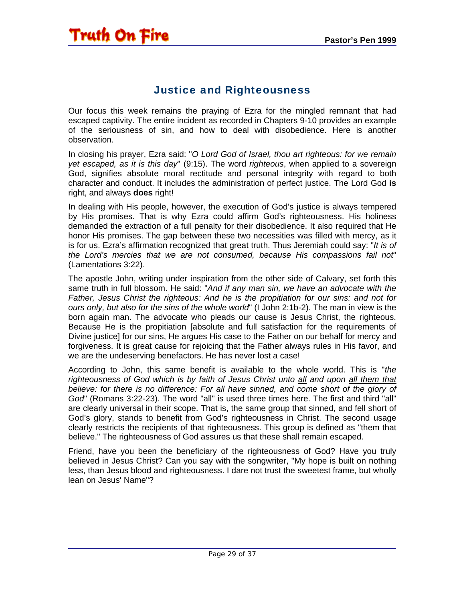#### Justice and Righteousness

<span id="page-28-0"></span>Our focus this week remains the praying of Ezra for the mingled remnant that had escaped captivity. The entire incident as recorded in Chapters 9-10 provides an example of the seriousness of sin, and how to deal with disobedience. Here is another observation.

In closing his prayer, Ezra said: "*O Lord God of Israel, thou art righteous: for we remain yet escaped, as it is this day*" (9:15). The word *righteous*, when applied to a sovereign God, signifies absolute moral rectitude and personal integrity with regard to both character and conduct. It includes the administration of perfect justice. The Lord God **is** right, and always **does** right!

In dealing with His people, however, the execution of God's justice is always tempered by His promises. That is why Ezra could affirm God's righteousness. His holiness demanded the extraction of a full penalty for their disobedience. It also required that He honor His promises. The gap between these two necessities was filled with mercy, as it is for us. Ezra's affirmation recognized that great truth. Thus Jeremiah could say: "*It is of the Lord's mercies that we are not consumed, because His compassions fail not*" (Lamentations 3:22).

The apostle John, writing under inspiration from the other side of Calvary, set forth this same truth in full blossom. He said: "*And if any man sin, we have an advocate with the Father, Jesus Christ the righteous: And he is the propitiation for our sins: and not for ours only, but also for the sins of the whole world*" (I John 2:1b-2). The man in view is the born again man. The advocate who pleads our cause is Jesus Christ, the righteous. Because He is the propitiation [absolute and full satisfaction for the requirements of Divine justice] for our sins, He argues His case to the Father on our behalf for mercy and forgiveness. It is great cause for rejoicing that the Father always rules in His favor, and we are the undeserving benefactors. He has never lost a case!

According to John, this same benefit is available to the whole world. This is "*the righteousness of God which is by faith of Jesus Christ unto all and upon all them that*  **believe:** for there is no difference: For all have sinned, and come short of the glory of *God*" (Romans 3:22-23). The word "all" is used three times here. The first and third "all" are clearly universal in their scope. That is, the same group that sinned, and fell short of God's glory, stands to benefit from God's righteousness in Christ. The second usage clearly restricts the recipients of that righteousness. This group is defined as "them that believe." The righteousness of God assures us that these shall remain escaped.

Friend, have you been the beneficiary of the righteousness of God? Have you truly believed in Jesus Christ? Can you say with the songwriter, "My hope is built on nothing less, than Jesus blood and righteousness. I dare not trust the sweetest frame, but wholly lean on Jesus' Name"?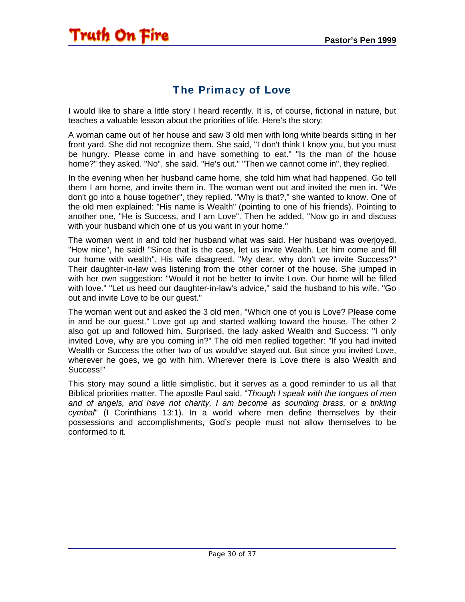#### The Primacy of Love

<span id="page-29-0"></span>I would like to share a little story I heard recently. It is, of course, fictional in nature, but teaches a valuable lesson about the priorities of life. Here's the story:

A woman came out of her house and saw 3 old men with long white beards sitting in her front yard. She did not recognize them. She said, "I don't think I know you, but you must be hungry. Please come in and have something to eat." "Is the man of the house home?" they asked. "No", she said. "He's out." "Then we cannot come in", they replied.

In the evening when her husband came home, she told him what had happened. Go tell them I am home, and invite them in. The woman went out and invited the men in. "We don't go into a house together", they replied. "Why is that?," she wanted to know. One of the old men explained: "His name is Wealth" (pointing to one of his friends). Pointing to another one, "He is Success, and I am Love". Then he added, "Now go in and discuss with your husband which one of us you want in your home."

The woman went in and told her husband what was said. Her husband was overjoyed. "How nice", he said! "Since that is the case, let us invite Wealth. Let him come and fill our home with wealth". His wife disagreed. "My dear, why don't we invite Success?" Their daughter-in-law was listening from the other corner of the house. She jumped in with her own suggestion: "Would it not be better to invite Love. Our home will be filled with love." "Let us heed our daughter-in-law's advice," said the husband to his wife. "Go out and invite Love to be our guest."

The woman went out and asked the 3 old men, "Which one of you is Love? Please come in and be our guest." Love got up and started walking toward the house. The other 2 also got up and followed him. Surprised, the lady asked Wealth and Success: "I only invited Love, why are you coming in?" The old men replied together: "If you had invited Wealth or Success the other two of us would've stayed out. But since you invited Love, wherever he goes, we go with him. Wherever there is Love there is also Wealth and Success!"

This story may sound a little simplistic, but it serves as a good reminder to us all that Biblical priorities matter. The apostle Paul said, "*Though I speak with the tongues of men and of angels, and have not charity, I am become as sounding brass, or a tinkling cymbal*" (I Corinthians 13:1). In a world where men define themselves by their possessions and accomplishments, God's people must not allow themselves to be conformed to it.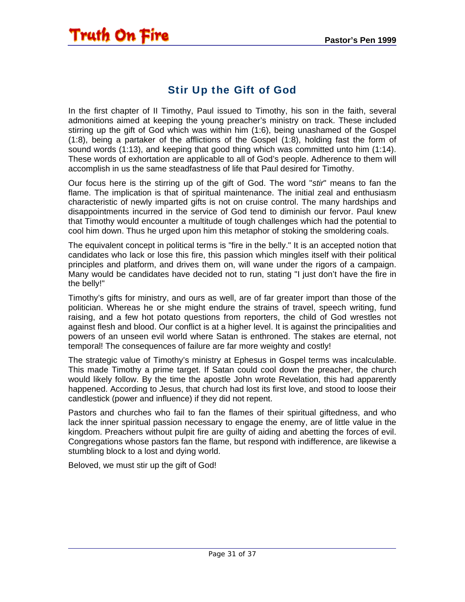### Stir Up the Gift of God

<span id="page-30-0"></span>In the first chapter of II Timothy, Paul issued to Timothy, his son in the faith, several admonitions aimed at keeping the young preacher's ministry on track. These included stirring up the gift of God which was within him (1:6), being unashamed of the Gospel (1:8), being a partaker of the afflictions of the Gospel (1:8), holding fast the form of sound words (1:13), and keeping that good thing which was committed unto him (1:14). These words of exhortation are applicable to all of God's people. Adherence to them will accomplish in us the same steadfastness of life that Paul desired for Timothy.

Our focus here is the stirring up of the gift of God. The word "*stir*" means to fan the flame. The implication is that of spiritual maintenance. The initial zeal and enthusiasm characteristic of newly imparted gifts is not on cruise control. The many hardships and disappointments incurred in the service of God tend to diminish our fervor. Paul knew that Timothy would encounter a multitude of tough challenges which had the potential to cool him down. Thus he urged upon him this metaphor of stoking the smoldering coals.

The equivalent concept in political terms is "fire in the belly." It is an accepted notion that candidates who lack or lose this fire, this passion which mingles itself with their political principles and platform, and drives them on, will wane under the rigors of a campaign. Many would be candidates have decided not to run, stating "I just don't have the fire in the belly!"

Timothy's gifts for ministry, and ours as well, are of far greater import than those of the politician. Whereas he or she might endure the strains of travel, speech writing, fund raising, and a few hot potato questions from reporters, the child of God wrestles not against flesh and blood. Our conflict is at a higher level. It is against the principalities and powers of an unseen evil world where Satan is enthroned. The stakes are eternal, not temporal! The consequences of failure are far more weighty and costly!

The strategic value of Timothy's ministry at Ephesus in Gospel terms was incalculable. This made Timothy a prime target. If Satan could cool down the preacher, the church would likely follow. By the time the apostle John wrote Revelation, this had apparently happened. According to Jesus, that church had lost its first love, and stood to loose their candlestick (power and influence) if they did not repent.

Pastors and churches who fail to fan the flames of their spiritual giftedness, and who lack the inner spiritual passion necessary to engage the enemy, are of little value in the kingdom. Preachers without pulpit fire are guilty of aiding and abetting the forces of evil. Congregations whose pastors fan the flame, but respond with indifference, are likewise a stumbling block to a lost and dying world.

Beloved, we must stir up the gift of God!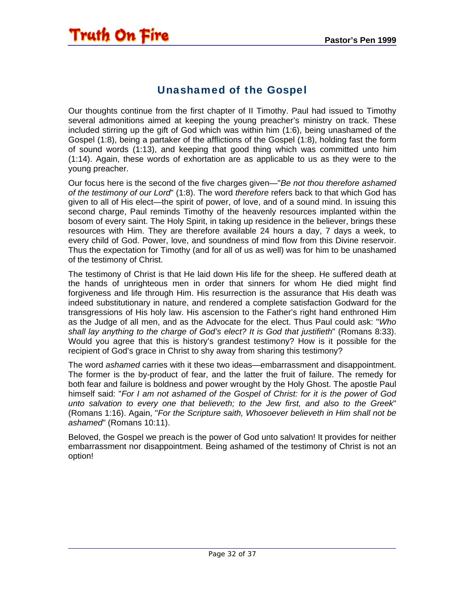#### Unashamed of the Gospel

<span id="page-31-0"></span>Our thoughts continue from the first chapter of II Timothy. Paul had issued to Timothy several admonitions aimed at keeping the young preacher's ministry on track. These included stirring up the gift of God which was within him (1:6), being unashamed of the Gospel (1:8), being a partaker of the afflictions of the Gospel (1:8), holding fast the form of sound words (1:13), and keeping that good thing which was committed unto him (1:14). Again, these words of exhortation are as applicable to us as they were to the young preacher.

Our focus here is the second of the five charges given—"*Be not thou therefore ashamed of the testimony of our Lord*" (1:8). The word *therefore* refers back to that which God has given to all of His elect—the spirit of power, of love, and of a sound mind. In issuing this second charge, Paul reminds Timothy of the heavenly resources implanted within the bosom of every saint. The Holy Spirit, in taking up residence in the believer, brings these resources with Him. They are therefore available 24 hours a day, 7 days a week, to every child of God. Power, love, and soundness of mind flow from this Divine reservoir. Thus the expectation for Timothy (and for all of us as well) was for him to be unashamed of the testimony of Christ.

The testimony of Christ is that He laid down His life for the sheep. He suffered death at the hands of unrighteous men in order that sinners for whom He died might find forgiveness and life through Him. His resurrection is the assurance that His death was indeed substitutionary in nature, and rendered a complete satisfaction Godward for the transgressions of His holy law. His ascension to the Father's right hand enthroned Him as the Judge of all men, and as the Advocate for the elect. Thus Paul could ask: "*Who shall lay anything to the charge of God's elect? It is God that justifieth*" (Romans 8:33). Would you agree that this is history's grandest testimony? How is it possible for the recipient of God's grace in Christ to shy away from sharing this testimony?

The word *ashamed* carries with it these two ideas—embarrassment and disappointment. The former is the by-product of fear, and the latter the fruit of failure. The remedy for both fear and failure is boldness and power wrought by the Holy Ghost. The apostle Paul himself said: "*For I am not ashamed of the Gospel of Christ: for it is the power of God unto salvation to every one that believeth; to the Jew first, and also to the Greek*" (Romans 1:16). Again, "*For the Scripture saith, Whosoever believeth in Him shall not be ashamed*" (Romans 10:11).

Beloved, the Gospel we preach is the power of God unto salvation! It provides for neither embarrassment nor disappointment. Being ashamed of the testimony of Christ is not an option!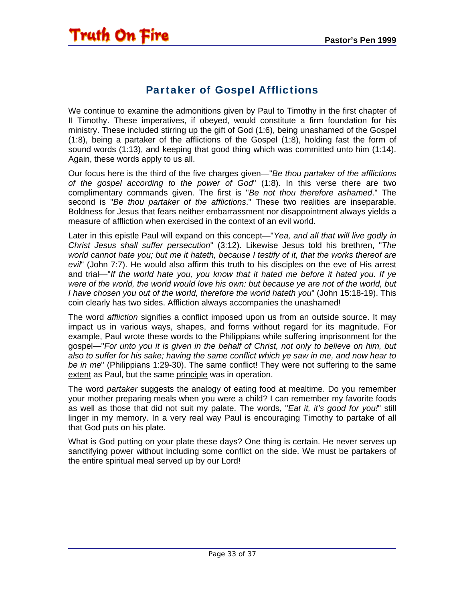#### Partaker of Gospel Afflictions

<span id="page-32-0"></span>We continue to examine the admonitions given by Paul to Timothy in the first chapter of II Timothy. These imperatives, if obeyed, would constitute a firm foundation for his ministry. These included stirring up the gift of God (1:6), being unashamed of the Gospel (1:8), being a partaker of the afflictions of the Gospel (1:8), holding fast the form of sound words (1:13), and keeping that good thing which was committed unto him (1:14). Again, these words apply to us all.

Our focus here is the third of the five charges given—"*Be thou partaker of the afflictions of the gospel according to the power of God*" (1:8). In this verse there are two complimentary commands given. The first is "*Be not thou therefore ashamed*." The second is "*Be thou partaker of the afflictions*." These two realities are inseparable. Boldness for Jesus that fears neither embarrassment nor disappointment always yields a measure of affliction when exercised in the context of an evil world.

Later in this epistle Paul will expand on this concept—"*Yea, and all that will live godly in Christ Jesus shall suffer persecution*" (3:12). Likewise Jesus told his brethren, "*The world cannot hate you; but me it hateth, because I testify of it, that the works thereof are evil*" (John 7:7). He would also affirm this truth to his disciples on the eve of His arrest and trial—"*If the world hate you, you know that it hated me before it hated you. If ye were of the world, the world would love his own: but because ye are not of the world, but I have chosen you out of the world, therefore the world hateth you*" (John 15:18-19). This coin clearly has two sides. Affliction always accompanies the unashamed!

The word *affliction* signifies a conflict imposed upon us from an outside source. It may impact us in various ways, shapes, and forms without regard for its magnitude. For example, Paul wrote these words to the Philippians while suffering imprisonment for the gospel—"*For unto you it is given in the behalf of Christ, not only to believe on him, but also to suffer for his sake; having the same conflict which ye saw in me, and now hear to be in me*" (Philippians 1:29-30). The same conflict! They were not suffering to the same extent as Paul, but the same principle was in operation.

The word *partaker* suggests the analogy of eating food at mealtime. Do you remember your mother preparing meals when you were a child? I can remember my favorite foods as well as those that did not suit my palate. The words, "*Eat it, it's good for you!*" still linger in my memory. In a very real way Paul is encouraging Timothy to partake of all that God puts on his plate.

What is God putting on your plate these days? One thing is certain. He never serves up sanctifying power without including some conflict on the side. We must be partakers of the entire spiritual meal served up by our Lord!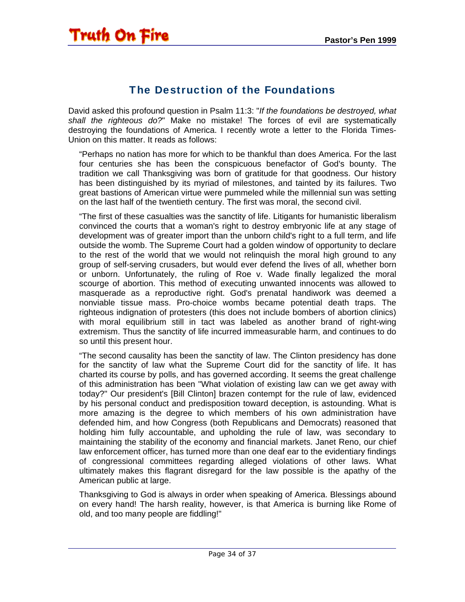#### The Destruction of the Foundations

<span id="page-33-0"></span>David asked this profound question in Psalm 11:3: "*If the foundations be destroyed, what shall the righteous do?*" Make no mistake! The forces of evil are systematically destroying the foundations of America. I recently wrote a letter to the Florida Times-Union on this matter. It reads as follows:

"Perhaps no nation has more for which to be thankful than does America. For the last four centuries she has been the conspicuous benefactor of God's bounty. The tradition we call Thanksgiving was born of gratitude for that goodness. Our history has been distinguished by its myriad of milestones, and tainted by its failures. Two great bastions of American virtue were pummeled while the millennial sun was setting on the last half of the twentieth century. The first was moral, the second civil.

"The first of these casualties was the sanctity of life. Litigants for humanistic liberalism convinced the courts that a woman's right to destroy embryonic life at any stage of development was of greater import than the unborn child's right to a full term, and life outside the womb. The Supreme Court had a golden window of opportunity to declare to the rest of the world that we would not relinquish the moral high ground to any group of self-serving crusaders, but would ever defend the lives of all, whether born or unborn. Unfortunately, the ruling of Roe v. Wade finally legalized the moral scourge of abortion. This method of executing unwanted innocents was allowed to masquerade as a reproductive right. God's prenatal handiwork was deemed a nonviable tissue mass. Pro-choice wombs became potential death traps. The righteous indignation of protesters (this does not include bombers of abortion clinics) with moral equilibrium still in tact was labeled as another brand of right-wing extremism. Thus the sanctity of life incurred immeasurable harm, and continues to do so until this present hour.

"The second causality has been the sanctity of law. The Clinton presidency has done for the sanctity of law what the Supreme Court did for the sanctity of life. It has charted its course by polls, and has governed according. It seems the great challenge of this administration has been "What violation of existing law can we get away with today?" Our president's [Bill Clinton] brazen contempt for the rule of law, evidenced by his personal conduct and predisposition toward deception, is astounding. What is more amazing is the degree to which members of his own administration have defended him, and how Congress (both Republicans and Democrats) reasoned that holding him fully accountable, and upholding the rule of law, was secondary to maintaining the stability of the economy and financial markets. Janet Reno, our chief law enforcement officer, has turned more than one deaf ear to the evidentiary findings of congressional committees regarding alleged violations of other laws. What ultimately makes this flagrant disregard for the law possible is the apathy of the American public at large.

Thanksgiving to God is always in order when speaking of America. Blessings abound on every hand! The harsh reality, however, is that America is burning like Rome of old, and too many people are fiddling!"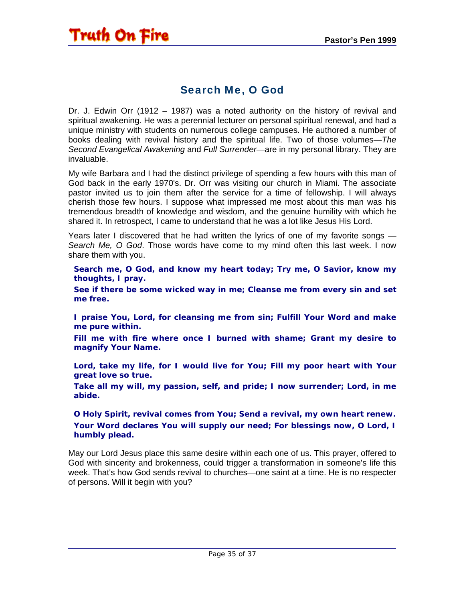#### Search Me, O God

<span id="page-34-0"></span>Dr. J. Edwin Orr (1912 – 1987) was a noted authority on the history of revival and spiritual awakening. He was a perennial lecturer on personal spiritual renewal, and had a unique ministry with students on numerous college campuses. He authored a number of books dealing with revival history and the spiritual life. Two of those volumes—*The Second Evangelical Awakening* and *Full Surrender*—are in my personal library. They are invaluable.

My wife Barbara and I had the distinct privilege of spending a few hours with this man of God back in the early 1970's. Dr. Orr was visiting our church in Miami. The associate pastor invited us to join them after the service for a time of fellowship. I will always cherish those few hours. I suppose what impressed me most about this man was his tremendous breadth of knowledge and wisdom, and the genuine humility with which he shared it. In retrospect, I came to understand that he was a lot like Jesus His Lord.

Years later I discovered that he had written the lyrics of one of my favorite songs — *Search Me, O God*. Those words have come to my mind often this last week. I now share them with you.

**Search me, O God, and know my heart today; Try me, O Savior, know my thoughts, I pray.** 

**See if there be some wicked way in me; Cleanse me from every sin and set me free.** 

**I praise You, Lord, for cleansing me from sin; Fulfill Your Word and make me pure within.** 

**Fill me with fire where once I burned with shame; Grant my desire to magnify Your Name.** 

**Lord, take my life, for I would live for You; Fill my poor heart with Your great love so true.** 

**Take all my will, my passion, self, and pride; I now surrender; Lord, in me abide.** 

**O Holy Spirit, revival comes from You; Send a revival, my own heart renew. Your Word declares You will supply our need; For blessings now, O Lord, I humbly plead.**

May our Lord Jesus place this same desire within each one of us. This prayer, offered to God with sincerity and brokenness, could trigger a transformation in someone's life this week. That's how God sends revival to churches—one saint at a time. He is no respecter of persons. Will it begin with you?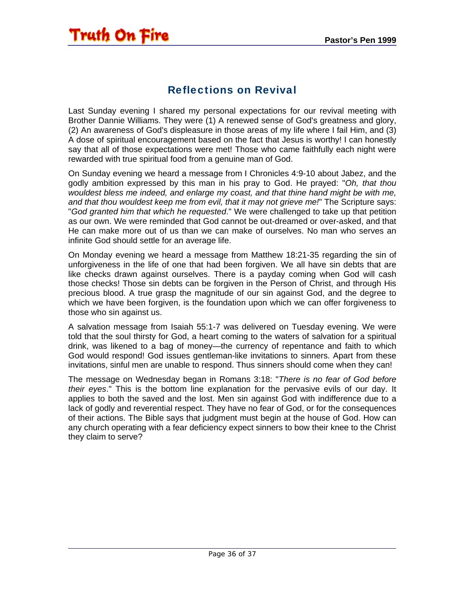#### Reflections on Revival

<span id="page-35-0"></span>Last Sunday evening I shared my personal expectations for our revival meeting with Brother Dannie Williams. They were (1) A renewed sense of God's greatness and glory, (2) An awareness of God's displeasure in those areas of my life where I fail Him, and (3) A dose of spiritual encouragement based on the fact that Jesus is worthy! I can honestly say that all of those expectations were met! Those who came faithfully each night were rewarded with true spiritual food from a genuine man of God.

On Sunday evening we heard a message from I Chronicles 4:9-10 about Jabez, and the godly ambition expressed by this man in his pray to God. He prayed: "*Oh, that thou wouldest bless me indeed, and enlarge my coast, and that thine hand might be with me, and that thou wouldest keep me from evil, that it may not grieve me!*" The Scripture says: "*God granted him that which he requested*." We were challenged to take up that petition as our own. We were reminded that God cannot be out-dreamed or over-asked, and that He can make more out of us than we can make of ourselves. No man who serves an infinite God should settle for an average life.

On Monday evening we heard a message from Matthew 18:21-35 regarding the sin of unforgiveness in the life of one that had been forgiven. We all have sin debts that are like checks drawn against ourselves. There is a payday coming when God will cash those checks! Those sin debts can be forgiven in the Person of Christ, and through His precious blood. A true grasp the magnitude of our sin against God, and the degree to which we have been forgiven, is the foundation upon which we can offer forgiveness to those who sin against us.

A salvation message from Isaiah 55:1-7 was delivered on Tuesday evening. We were told that the soul thirsty for God, a heart coming to the waters of salvation for a spiritual drink, was likened to a bag of money—the currency of repentance and faith to which God would respond! God issues gentleman-like invitations to sinners. Apart from these invitations, sinful men are unable to respond. Thus sinners should come when they can!

The message on Wednesday began in Romans 3:18: "*There is no fear of God before their eyes*." This is the bottom line explanation for the pervasive evils of our day. It applies to both the saved and the lost. Men sin against God with indifference due to a lack of godly and reverential respect. They have no fear of God, or for the consequences of their actions. The Bible says that judgment must begin at the house of God. How can any church operating with a fear deficiency expect sinners to bow their knee to the Christ they claim to serve?